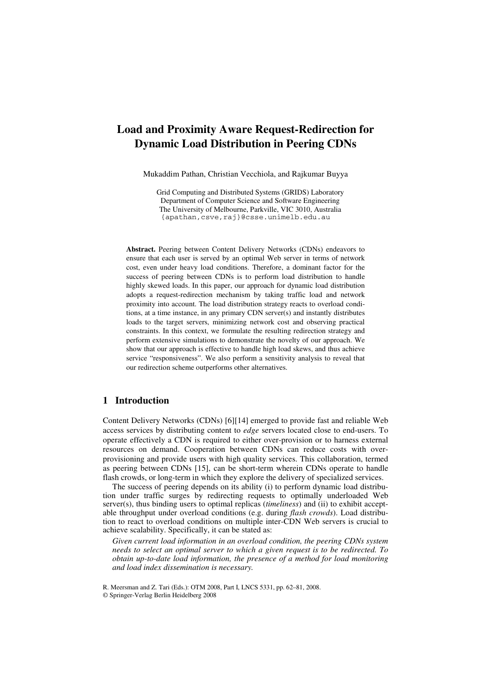# **Load and Proximity Aware Request-Redirection for Dynamic Load Distribution in Peering CDNs**

Mukaddim Pathan, Christian Vecchiola, and Rajkumar Buyya

Grid Computing and Distributed Systems (GRIDS) Laboratory Department of Computer Science and Software Engineering The University of Melbourne, Parkville, VIC 3010, Australia {apathan,csve,raj}@csse.unimelb.edu.au

**Abstract.** Peering between Content Delivery Networks (CDNs) endeavors to ensure that each user is served by an optimal Web server in terms of network cost, even under heavy load conditions. Therefore, a dominant factor for the success of peering between CDNs is to perform load distribution to handle highly skewed loads. In this paper, our approach for dynamic load distribution adopts a request-redirection mechanism by taking traffic load and network proximity into account. The load distribution strategy reacts to overload conditions, at a time instance, in any primary CDN server(s) and instantly distributes loads to the target servers, minimizing network cost and observing practical constraints. In this context, we formulate the resulting redirection strategy and perform extensive simulations to demonstrate the novelty of our approach. We show that our approach is effective to handle high load skews, and thus achieve service "responsiveness". We also perform a sensitivity analysis to reveal that our redirection scheme outperforms other alternatives.

# **1 Introduction**

Content Delivery Networks (CDNs) [6][14] emerged to provide fast and reliable Web access services by distributing content to *edge* servers located close to end-users. To operate effectively a CDN is required to either over-provision or to harness external resources on demand. Cooperation between CDNs can reduce costs with overprovisioning and provide users with high quality services. This collaboration, termed as peering between CDNs [15], can be short-term wherein CDNs operate to handle flash crowds, or long-term in which they explore the delivery of specialized services.

The success of peering depends on its ability (i) to perform dynamic load distribution under traffic surges by redirecting requests to optimally underloaded Web server(s), thus binding users to optimal replicas (*timeliness*) and (ii) to exhibit acceptable throughput under overload conditions (e.g. during *flash crowds*). Load distribution to react to overload conditions on multiple inter-CDN Web servers is crucial to achieve scalability. Specifically, it can be stated as:

*Given current load information in an overload condition, the peering CDNs system needs to select an optimal server to which a given request is to be redirected. To obtain up-to-date load information, the presence of a method for load monitoring and load index dissemination is necessary.*

R. Meersman and Z. Tari (Eds.): OTM 2008, Part I, LNCS 5331, pp. 62–81, 2008.

<sup>©</sup> Springer-Verlag Berlin Heidelberg 2008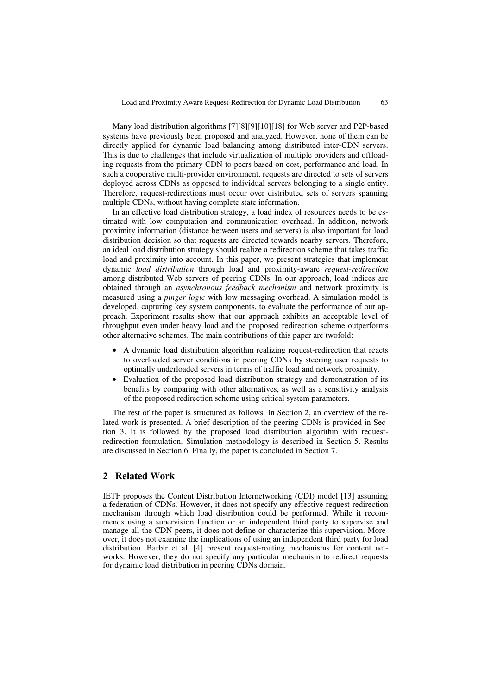Many load distribution algorithms [7][8][9][10][18] for Web server and P2P-based systems have previously been proposed and analyzed. However, none of them can be directly applied for dynamic load balancing among distributed inter-CDN servers. This is due to challenges that include virtualization of multiple providers and offloading requests from the primary CDN to peers based on cost, performance and load. In such a cooperative multi-provider environment, requests are directed to sets of servers deployed across CDNs as opposed to individual servers belonging to a single entity. Therefore, request-redirections must occur over distributed sets of servers spanning multiple CDNs, without having complete state information.

In an effective load distribution strategy, a load index of resources needs to be estimated with low computation and communication overhead. In addition, network proximity information (distance between users and servers) is also important for load distribution decision so that requests are directed towards nearby servers. Therefore, an ideal load distribution strategy should realize a redirection scheme that takes traffic load and proximity into account. In this paper, we present strategies that implement dynamic *load distribution* through load and proximity-aware *request-redirection* among distributed Web servers of peering CDNs. In our approach, load indices are obtained through an *asynchronous feedback mechanism* and network proximity is measured using a *pinger logic* with low messaging overhead. A simulation model is developed, capturing key system components, to evaluate the performance of our approach. Experiment results show that our approach exhibits an acceptable level of throughput even under heavy load and the proposed redirection scheme outperforms other alternative schemes. The main contributions of this paper are twofold:

- A dynamic load distribution algorithm realizing request-redirection that reacts to overloaded server conditions in peering CDNs by steering user requests to optimally underloaded servers in terms of traffic load and network proximity.
- Evaluation of the proposed load distribution strategy and demonstration of its benefits by comparing with other alternatives, as well as a sensitivity analysis of the proposed redirection scheme using critical system parameters.

The rest of the paper is structured as follows. In Section 2, an overview of the related work is presented. A brief description of the peering CDNs is provided in Section 3. It is followed by the proposed load distribution algorithm with requestredirection formulation. Simulation methodology is described in Section 5. Results are discussed in Section 6. Finally, the paper is concluded in Section 7.

# **2 Related Work**

IETF proposes the Content Distribution Internetworking (CDI) model [13] assuming a federation of CDNs. However, it does not specify any effective request-redirection mechanism through which load distribution could be performed. While it recommends using a supervision function or an independent third party to supervise and manage all the CDN peers, it does not define or characterize this supervision. Moreover, it does not examine the implications of using an independent third party for load distribution. Barbir et al. [4] present request-routing mechanisms for content networks. However, they do not specify any particular mechanism to redirect requests for dynamic load distribution in peering CDNs domain.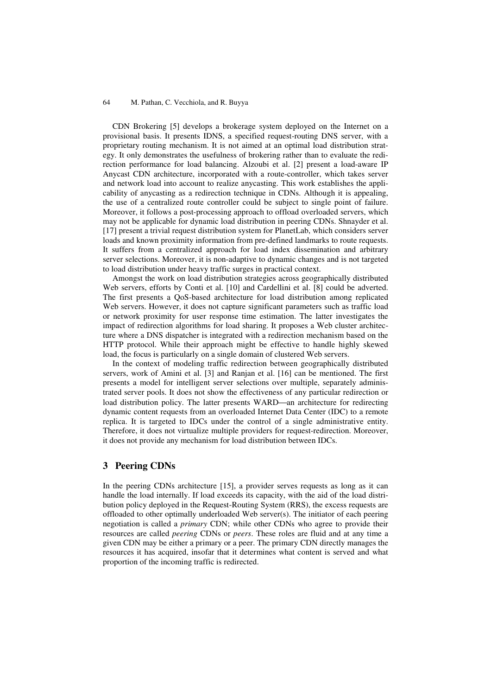CDN Brokering [5] develops a brokerage system deployed on the Internet on a provisional basis. It presents IDNS, a specified request-routing DNS server, with a proprietary routing mechanism. It is not aimed at an optimal load distribution strategy. It only demonstrates the usefulness of brokering rather than to evaluate the redirection performance for load balancing. Alzoubi et al. [2] present a load-aware IP Anycast CDN architecture, incorporated with a route-controller, which takes server and network load into account to realize anycasting. This work establishes the applicability of anycasting as a redirection technique in CDNs. Although it is appealing, the use of a centralized route controller could be subject to single point of failure. Moreover, it follows a post-processing approach to offload overloaded servers, which may not be applicable for dynamic load distribution in peering CDNs. Shnayder et al. [17] present a trivial request distribution system for PlanetLab, which considers server loads and known proximity information from pre-defined landmarks to route requests. It suffers from a centralized approach for load index dissemination and arbitrary server selections. Moreover, it is non-adaptive to dynamic changes and is not targeted to load distribution under heavy traffic surges in practical context.

Amongst the work on load distribution strategies across geographically distributed Web servers, efforts by Conti et al. [10] and Cardellini et al. [8] could be adverted. The first presents a QoS-based architecture for load distribution among replicated Web servers. However, it does not capture significant parameters such as traffic load or network proximity for user response time estimation. The latter investigates the impact of redirection algorithms for load sharing. It proposes a Web cluster architecture where a DNS dispatcher is integrated with a redirection mechanism based on the HTTP protocol. While their approach might be effective to handle highly skewed load, the focus is particularly on a single domain of clustered Web servers.

In the context of modeling traffic redirection between geographically distributed servers, work of Amini et al. [3] and Ranjan et al. [16] can be mentioned. The first presents a model for intelligent server selections over multiple, separately administrated server pools. It does not show the effectiveness of any particular redirection or load distribution policy. The latter presents WARD—an architecture for redirecting dynamic content requests from an overloaded Internet Data Center (IDC) to a remote replica. It is targeted to IDCs under the control of a single administrative entity. Therefore, it does not virtualize multiple providers for request-redirection. Moreover, it does not provide any mechanism for load distribution between IDCs.

# **3 Peering CDNs**

In the peering CDNs architecture [15], a provider serves requests as long as it can handle the load internally. If load exceeds its capacity, with the aid of the load distribution policy deployed in the Request-Routing System (RRS), the excess requests are offloaded to other optimally underloaded Web server(s). The initiator of each peering negotiation is called a *primary* CDN; while other CDNs who agree to provide their resources are called *peering* CDNs or *peers*. These roles are fluid and at any time a given CDN may be either a primary or a peer. The primary CDN directly manages the resources it has acquired, insofar that it determines what content is served and what proportion of the incoming traffic is redirected.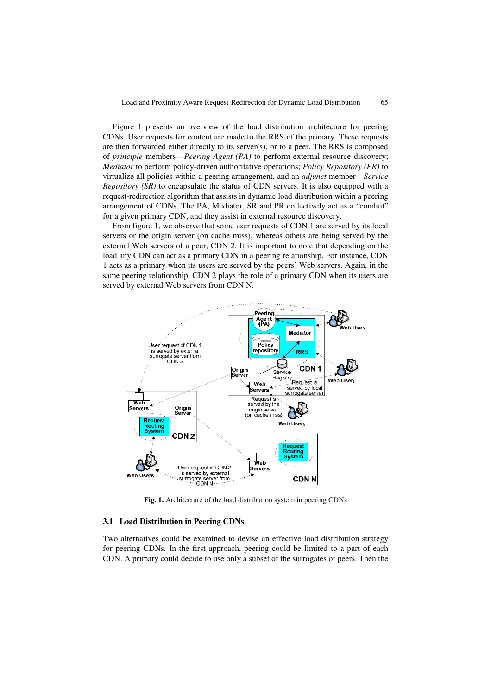Figure 1 presents an overview of the load distribution architecture for peering CDNs. User requests for content are made to the RRS of the primary. These requests are then forwarded either directly to its server(s), or to a peer. The RRS is composed of *principle* members—*Peering Agent (PA)* to perform external resource discovery; *Mediator* to perform policy-driven authoritative operations; *Policy Repository (PR)* to virtualize all policies within a peering arrangement, and an *adjunct* member—*Service Repository (SR)* to encapsulate the status of CDN servers. It is also equipped with a request-redirection algorithm that assists in dynamic load distribution within a peering arrangement of CDNs. The PA, Mediator, SR and PR collectively act as a "conduit" for a given primary CDN, and they assist in external resource discovery.

From figure 1, we observe that some user requests of CDN 1 are served by its local servers or the origin server (on cache miss), whereas others are being served by the external Web servers of a peer, CDN 2. It is important to note that depending on the load any CDN can act as a primary CDN in a peering relationship. For instance, CDN 1 acts as a primary when its users are served by the peers' Web servers. Again, in the same peering relationship, CDN 2 plays the role of a primary CDN when its users are served by external Web servers from CDN N.



**Fig. 1.** Architecture of the load distribution system in peering CDNs

# **3.1 Load Distribution in Peering CDNs**

Two alternatives could be examined to devise an effective load distribution strategy for peering CDNs. In the first approach, peering could be limited to a part of each CDN. A primary could decide to use only a subset of the surrogates of peers. Then the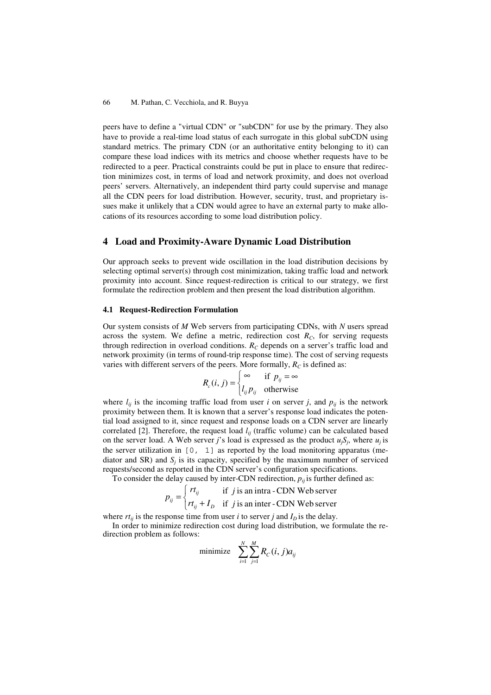peers have to define a "virtual CDN" or "subCDN" for use by the primary. They also have to provide a real-time load status of each surrogate in this global subCDN using standard metrics. The primary CDN (or an authoritative entity belonging to it) can compare these load indices with its metrics and choose whether requests have to be redirected to a peer. Practical constraints could be put in place to ensure that redirection minimizes cost, in terms of load and network proximity, and does not overload peers' servers. Alternatively, an independent third party could supervise and manage all the CDN peers for load distribution. However, security, trust, and proprietary issues make it unlikely that a CDN would agree to have an external party to make allocations of its resources according to some load distribution policy.

# **4 Load and Proximity-Aware Dynamic Load Distribution**

Our approach seeks to prevent wide oscillation in the load distribution decisions by selecting optimal server(s) through cost minimization, taking traffic load and network proximity into account. Since request-redirection is critical to our strategy, we first formulate the redirection problem and then present the load distribution algorithm.

#### **4.1 Request-Redirection Formulation**

Our system consists of *M* Web servers from participating CDNs, with *N* users spread across the system. We define a metric, redirection cost  $R_C$ , for serving requests through redirection in overload conditions.  $R_C$  depends on a server's traffic load and network proximity (in terms of round-trip response time). The cost of serving requests varies with different servers of the peers. More formally,  $R_C$  is defined as:

$$
R_c(i, j) = \begin{cases} \infty & \text{if } p_{ij} = \infty \\ l_{ij} p_{ij} & \text{otherwise} \end{cases}
$$

where  $l_{ij}$  is the incoming traffic load from user *i* on server *j*, and  $p_{ij}$  is the network proximity between them. It is known that a server's response load indicates the potential load assigned to it, since request and response loads on a CDN server are linearly correlated [2]. Therefore, the request load  $l_{ij}$  (traffic volume) can be calculated based on the server load. A Web server *j*'s load is expressed as the product  $u_j S_j$ , where  $u_j$  is the server utilization in [0, 1] as reported by the load monitoring apparatus (mediator and SR) and  $S_i$  is its capacity, specified by the maximum number of serviced requests/second as reported in the CDN server's configuration specifications.

To consider the delay caused by inter-CDN redirection,  $p_{ij}$  is further defined as:

$$
p_{ij} = \begin{cases} rt_{ij} & \text{if } j \text{ is an intra-CDN Web server} \\ rt_{ij} + I_{D} & \text{if } j \text{ is an inter-CDN Web server} \end{cases}
$$

$$
rt_{ij} + T_D
$$
 11 j is an inter-CDN Web server  
where  $rt_{ij}$  is the response time from user *i* to server *j* and  $I_D$  is the delay.

In order to minimize redirection cost during load distribution, we formulate the redirection problem as follows:

$$
\text{minimize} \quad \sum_{i=1}^{N} \sum_{j=1}^{M} R_C(i, j) a_{ij}
$$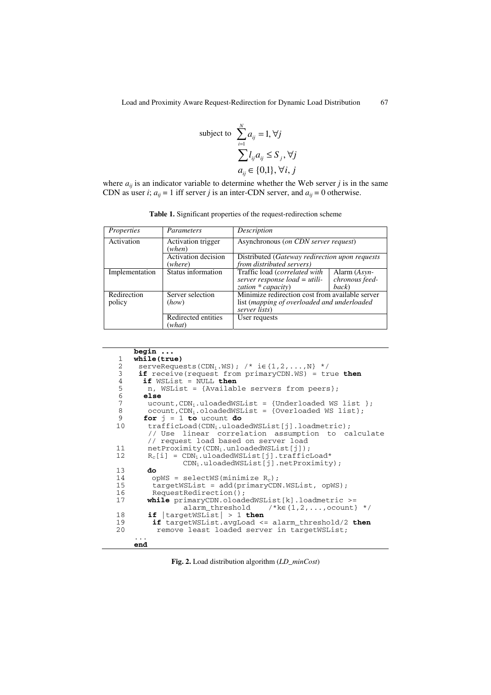subject to 
$$
\sum_{i=1}^{N} a_{ij} = 1, \forall j
$$

$$
\sum l_{ij} a_{ij} \leq S_j, \forall j
$$

$$
a_{ij} \in \{0,1\}, \forall i, j
$$

where  $a_{ij}$  is an indicator variable to determine whether the Web server *j* is in the same CDN as user *i*;  $a_{ij} = 1$  iff server *j* is an inter-CDN server, and  $a_{ij} = 0$  otherwise.

| <b>Table 1.</b> Significant properties of the request-redirection scheme |  |
|--------------------------------------------------------------------------|--|
|--------------------------------------------------------------------------|--|

| Properties            | Parameters                     | Description                                                                                                                 |                                                                                                |  |
|-----------------------|--------------------------------|-----------------------------------------------------------------------------------------------------------------------------|------------------------------------------------------------------------------------------------|--|
| Activation            | Activation trigger<br>(when)   | Asynchronous (on CDN server request)<br>Distributed ( <i>Gateway redirection upon requests</i><br>from distributed servers) |                                                                                                |  |
|                       | Activation decision<br>(where) |                                                                                                                             |                                                                                                |  |
| Implementation        | Status information             | Traffic load (correlated with<br>server response load = utili-<br>zation $*$ capacity)                                      | $\overline{\text{Alarm}}$ (Asyn-<br>chronous feed-<br>back)                                    |  |
| Redirection<br>policy | Server selection<br>(how)      | server lists)                                                                                                               | Minimize redirection cost from available server<br>list (mapping of overloaded and underloaded |  |
|                       | Redirected entities<br>(what)  | User requests                                                                                                               |                                                                                                |  |

```
begin ... 
1 while(true) 
2 serveRequests(CDN<sub>i</sub>.WS); /* i∈{1,2,...,N} */<br>3 if receive(request from primaryCDN.WS) = tr
3 if receive(request from primaryCDN.WS) = true then
4 if WSList = NULL then
5 n, WSList = {Available servers from peers};<br>6 else
6 else 
7 ucount,CDN<sub>i</sub>.uloadedWSList = {Underloaded WS list };<br>8 ocount,CDN<sub>i</sub>.oloadedWSList = {Overloaded WS list};
8 ocount, CDN<sub>i</sub>.oloadedWSList = {Overloaded WS list};<br>9 for i = 1 to ucount do
9 for j = 1 to ucount do
         \texttt{trafficLoad}(\texttt{CDN}_i.\texttt{uloadedWSList}[j].loadmetric);
         // Use linear correlation assumption to calculate 
      // request load based on server load 
11 netProximity(CDN_i.unloadedWSList[j]);<br>12 R_c[i] = CDN_i.uloadedWSList[j].trafficR_c[i] = CDN_i.uloadedWSList[j].trafficLoad*
                    CDNi.uloadedWSList[j].netProximity); 
13 do 
14 opWS = selectWS(minimize R_c);<br>15 targetWSList = add(primaryCDN
15 targetWSList = add(primaryCDN.WSList, opWS);<br>16 RequestRedirection();
16 RequestRedirection();<br>17 while primaryCDN.oload
         while primaryCDN.oloadedWSList[k].loadmetric >=
                    alarm_threshold /*k∈{1,2,...,ocount} */
18 if |targetWSList| > 1 then 
19 if targetWSList.avgLoad <= alarm_threshold/2 then 
20 remove least loaded server in targetWSList; 
      ... 
     end
```
**Fig. 2.** Load distribution algorithm (*LD\_minCost*)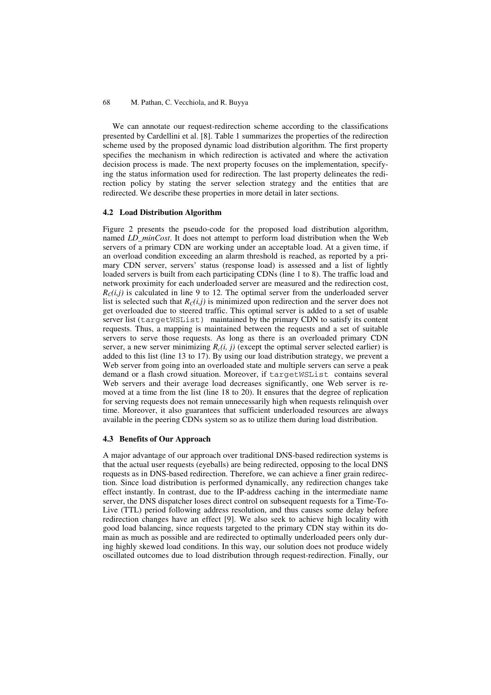We can annotate our request-redirection scheme according to the classifications presented by Cardellini et al. [8]. Table 1 summarizes the properties of the redirection scheme used by the proposed dynamic load distribution algorithm. The first property specifies the mechanism in which redirection is activated and where the activation decision process is made. The next property focuses on the implementation, specifying the status information used for redirection. The last property delineates the redirection policy by stating the server selection strategy and the entities that are redirected. We describe these properties in more detail in later sections.

#### **4.2 Load Distribution Algorithm**

Figure 2 presents the pseudo-code for the proposed load distribution algorithm, named *LD\_minCost*. It does not attempt to perform load distribution when the Web servers of a primary CDN are working under an acceptable load. At a given time, if an overload condition exceeding an alarm threshold is reached, as reported by a primary CDN server, servers' status (response load) is assessed and a list of lightly loaded servers is built from each participating CDNs (line 1 to 8). The traffic load and network proximity for each underloaded server are measured and the redirection cost,  $R<sub>C</sub>(i,j)$  is calculated in line 9 to 12. The optimal server from the underloaded server list is selected such that  $R_C(i,j)$  is minimized upon redirection and the server does not get overloaded due to steered traffic. This optimal server is added to a set of usable server list (targetWSList) maintained by the primary CDN to satisfy its content requests. Thus, a mapping is maintained between the requests and a set of suitable servers to serve those requests. As long as there is an overloaded primary CDN server, a new server minimizing  $R_c(i, j)$  (except the optimal server selected earlier) is added to this list (line 13 to 17). By using our load distribution strategy, we prevent a Web server from going into an overloaded state and multiple servers can serve a peak demand or a flash crowd situation. Moreover, if targetWSList contains several Web servers and their average load decreases significantly, one Web server is removed at a time from the list (line 18 to 20). It ensures that the degree of replication for serving requests does not remain unnecessarily high when requests relinquish over time. Moreover, it also guarantees that sufficient underloaded resources are always available in the peering CDNs system so as to utilize them during load distribution.

### **4.3 Benefits of Our Approach**

A major advantage of our approach over traditional DNS-based redirection systems is that the actual user requests (eyeballs) are being redirected, opposing to the local DNS requests as in DNS-based redirection. Therefore, we can achieve a finer grain redirection. Since load distribution is performed dynamically, any redirection changes take effect instantly. In contrast, due to the IP-address caching in the intermediate name server, the DNS dispatcher loses direct control on subsequent requests for a Time-To-Live (TTL) period following address resolution, and thus causes some delay before redirection changes have an effect [9]. We also seek to achieve high locality with good load balancing, since requests targeted to the primary CDN stay within its domain as much as possible and are redirected to optimally underloaded peers only during highly skewed load conditions. In this way, our solution does not produce widely oscillated outcomes due to load distribution through request-redirection. Finally, our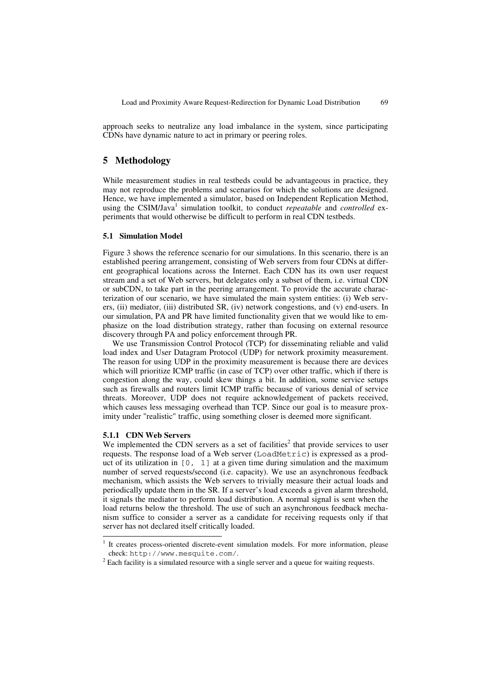approach seeks to neutralize any load imbalance in the system, since participating CDNs have dynamic nature to act in primary or peering roles.

# **5 Methodology**

While measurement studies in real testbeds could be advantageous in practice, they may not reproduce the problems and scenarios for which the solutions are designed. Hence, we have implemented a simulator, based on Independent Replication Method, using the CSIM/Java<sup>1</sup> simulation toolkit, to conduct *repeatable* and *controlled* experiments that would otherwise be difficult to perform in real CDN testbeds.

#### **5.1 Simulation Model**

Figure 3 shows the reference scenario for our simulations. In this scenario, there is an established peering arrangement, consisting of Web servers from four CDNs at different geographical locations across the Internet. Each CDN has its own user request stream and a set of Web servers, but delegates only a subset of them, i.e. virtual CDN or subCDN, to take part in the peering arrangement. To provide the accurate characterization of our scenario, we have simulated the main system entities: (i) Web servers, (ii) mediator, (iii) distributed SR, (iv) network congestions, and (v) end-users. In our simulation, PA and PR have limited functionality given that we would like to emphasize on the load distribution strategy, rather than focusing on external resource discovery through PA and policy enforcement through PR.

We use Transmission Control Protocol (TCP) for disseminating reliable and valid load index and User Datagram Protocol (UDP) for network proximity measurement. The reason for using UDP in the proximity measurement is because there are devices which will prioritize ICMP traffic (in case of TCP) over other traffic, which if there is congestion along the way, could skew things a bit. In addition, some service setups such as firewalls and routers limit ICMP traffic because of various denial of service threats. Moreover, UDP does not require acknowledgement of packets received, which causes less messaging overhead than TCP. Since our goal is to measure proximity under "realistic" traffic, using something closer is deemed more significant.

### **5.1.1 CDN Web Servers**

-

We implemented the CDN servers as a set of facilities<sup>2</sup> that provide services to user requests. The response load of a Web server (LoadMetric) is expressed as a product of its utilization in  $[0, 1]$  at a given time during simulation and the maximum number of served requests/second (i.e. capacity). We use an asynchronous feedback mechanism, which assists the Web servers to trivially measure their actual loads and periodically update them in the SR. If a server's load exceeds a given alarm threshold, it signals the mediator to perform load distribution. A normal signal is sent when the load returns below the threshold. The use of such an asynchronous feedback mechanism suffice to consider a server as a candidate for receiving requests only if that server has not declared itself critically loaded.

<sup>&</sup>lt;sup>1</sup> It creates process-oriented discrete-event simulation models. For more information, please check: http://www.mesquite.com/. 2

 $2$  Each facility is a simulated resource with a single server and a queue for waiting requests.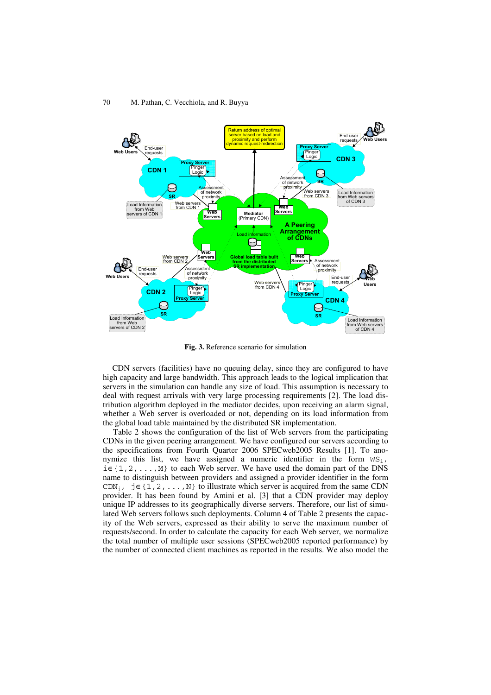

**Fig. 3.** Reference scenario for simulation

CDN servers (facilities) have no queuing delay, since they are configured to have high capacity and large bandwidth. This approach leads to the logical implication that servers in the simulation can handle any size of load. This assumption is necessary to deal with request arrivals with very large processing requirements [2]. The load distribution algorithm deployed in the mediator decides, upon receiving an alarm signal, whether a Web server is overloaded or not, depending on its load information from the global load table maintained by the distributed SR implementation.

Table 2 shows the configuration of the list of Web servers from the participating CDNs in the given peering arrangement. We have configured our servers according to the specifications from Fourth Quarter 2006 SPECweb2005 Results [1]. To anonymize this list, we have assigned a numeric identifier in the form  $WS_i$ , i∈{1,2,...,M} to each Web server. We have used the domain part of the DNS name to distinguish between providers and assigned a provider identifier in the form CDN<sub>j</sub>, j∈{1,2,...,N} to illustrate which server is acquired from the same CDN provider. It has been found by Amini et al. [3] that a CDN provider may deploy unique IP addresses to its geographically diverse servers. Therefore, our list of simulated Web servers follows such deployments. Column 4 of Table 2 presents the capacity of the Web servers, expressed as their ability to serve the maximum number of requests/second. In order to calculate the capacity for each Web server, we normalize the total number of multiple user sessions (SPECweb2005 reported performance) by the number of connected client machines as reported in the results. We also model the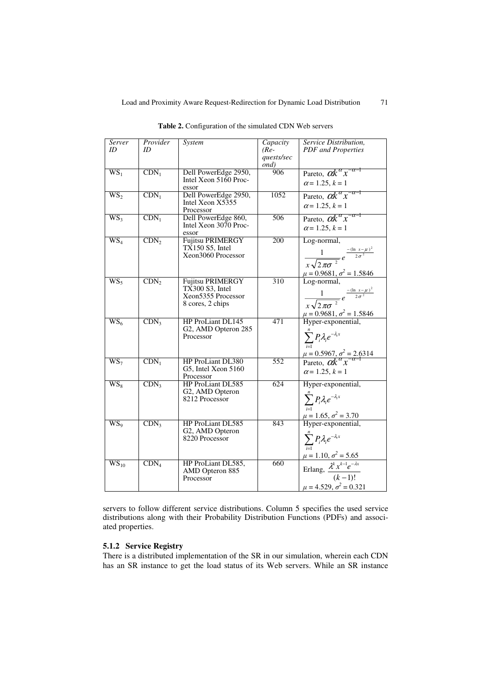| Server<br>ID                | Provider<br>ID   | System                                   | Capacity<br>$(Re-$ | Service Distribution,<br><b>PDF</b> and Properties                                    |
|-----------------------------|------------------|------------------------------------------|--------------------|---------------------------------------------------------------------------------------|
|                             |                  |                                          | quests/sec<br>ond) |                                                                                       |
| $WS_1$                      | $CDN_1$          | Dell PowerEdge 2950,                     | 906                | Pareto, $\alpha k^{\alpha} x^{-\alpha-1}$                                             |
|                             |                  | Intel Xeon 5160 Proc-<br>essor           |                    | $\alpha$ = 1.25, $k$ = 1                                                              |
| WS <sub>2</sub>             | $CDN_1$          | Dell PowerEdge 2950,                     | 1052               | Pareto, $\alpha k^{\alpha} x^{-\alpha-1}$                                             |
|                             |                  | Intel Xeon X5355<br>Processor            |                    | $\alpha$ = 1.25, $k$ = 1                                                              |
| WS <sub>3</sub>             | $CDN_1$          | Dell PowerEdge 860,                      | 506                | Pareto, $\alpha k^{\alpha} x^{-\alpha-1}$                                             |
|                             |                  | Intel Xeon 3070 Proc-<br>essor           |                    | $\alpha$ = 1.25, $k$ = 1                                                              |
| $WS_4$                      | CDN <sub>2</sub> | <b>Fujitsu PRIMERGY</b>                  | 200                | Log-normal,                                                                           |
|                             |                  | $TX150 S5$ , Intel<br>Xeon3060 Processor |                    | $\frac{1}{x\sqrt{2\pi\sigma^2}}e^{\frac{-(\ln x-\mu)^2}{2\sigma^2}}$                  |
|                             |                  |                                          |                    |                                                                                       |
| $WS_5$                      | CDN <sub>2</sub> | <b>Fujitsu PRIMERGY</b>                  | 310                | $\mu = 0.9681, \sigma^2 = 1.5846$<br>Log-normal,                                      |
|                             |                  | TX300 S3, Intel                          |                    |                                                                                       |
|                             |                  | Xeon5355 Processor<br>8 cores, 2 chips   |                    | $\frac{1}{x\sqrt{2\pi\sigma^2}}e^{\frac{-(\ln x-\mu)^2}{2\sigma^2}}$                  |
|                             |                  |                                          |                    |                                                                                       |
| $WS_6$                      | CDN <sub>3</sub> | HP ProLiant DL145                        | 471                | $\mu$ = 0.9681, $\sigma^2$ = 1.5846<br>Hyper-exponential,                             |
|                             |                  | G2, AMD Opteron 285<br>Processor         |                    | $\sum P_i \lambda_i e^{-\lambda_i x}$                                                 |
|                             |                  |                                          |                    |                                                                                       |
| $WS_7$                      | $CDN_1$          | HP ProLiant DL380                        | $\overline{552}$   | $\mu = 0.5967, \sigma^2 = 2.6314$<br>Pareto, $\alpha k^{\alpha} x^{-\alpha-1}$        |
|                             |                  | G5, Intel Xeon 5160                      |                    | $\alpha$ = 1.25, $k$ = 1                                                              |
| $WS_8$                      | CDN <sub>3</sub> | Processor<br>HP ProLiant DL585           | 624                | Hyper-exponential,                                                                    |
|                             |                  | G2, AMD Opteron                          |                    |                                                                                       |
|                             |                  | 8212 Processor                           |                    | $\sum_{i=1}^n P_i \lambda_i e^{-\lambda_i x}$                                         |
|                             |                  |                                          |                    |                                                                                       |
| WS <sub>o</sub>             | CDN <sub>3</sub> | HP ProLiant DL585                        | 843                | $\mu = 1.65, \sigma^2 = 3.70$ Hyper-exponential,                                      |
|                             |                  | G2, AMD Opteron<br>8220 Processor        |                    | $\sum_{i=1}^n P_i \lambda_i e^{-\lambda_i x}$                                         |
|                             |                  |                                          |                    |                                                                                       |
| $\overline{\text{WS}_{10}}$ | CDN <sub>4</sub> | HP ProLiant DL585,                       | 660                | $\mu = 1.10, \sigma^2 = 5.65$<br>Erlang, $\frac{\lambda^k x^{k-1} e^{-\lambda x}}{k}$ |
|                             |                  | AMD Opteron 885                          |                    |                                                                                       |
|                             |                  | Processor                                |                    | $(k-1)!$<br>$\mu = 4.529, \sigma^2 = 0.321$                                           |
|                             |                  |                                          |                    |                                                                                       |

**Table 2.** Configuration of the simulated CDN Web servers

servers to follow different service distributions. Column 5 specifies the used service distributions along with their Probability Distribution Functions (PDFs) and associated properties.

# **5.1.2 Service Registry**

There is a distributed implementation of the SR in our simulation, wherein each CDN has an SR instance to get the load status of its Web servers. While an SR instance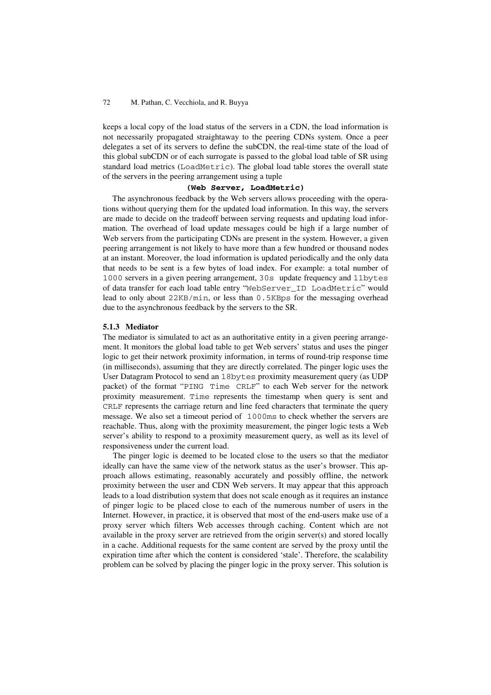keeps a local copy of the load status of the servers in a CDN, the load information is not necessarily propagated straightaway to the peering CDNs system. Once a peer delegates a set of its servers to define the subCDN, the real-time state of the load of this global subCDN or of each surrogate is passed to the global load table of SR using standard load metrics (LoadMetric). The global load table stores the overall state of the servers in the peering arrangement using a tuple

### **(Web Server, LoadMetric)**

The asynchronous feedback by the Web servers allows proceeding with the operations without querying them for the updated load information. In this way, the servers are made to decide on the tradeoff between serving requests and updating load information. The overhead of load update messages could be high if a large number of Web servers from the participating CDNs are present in the system. However, a given peering arrangement is not likely to have more than a few hundred or thousand nodes at an instant. Moreover, the load information is updated periodically and the only data that needs to be sent is a few bytes of load index. For example: a total number of 1000 servers in a given peering arrangement, 30s update frequency and 11bytes of data transfer for each load table entry "WebServer\_ID LoadMetric" would lead to only about 22KB/min, or less than 0.5KBps for the messaging overhead due to the asynchronous feedback by the servers to the SR.

#### **5.1.3 Mediator**

The mediator is simulated to act as an authoritative entity in a given peering arrangement. It monitors the global load table to get Web servers' status and uses the pinger logic to get their network proximity information, in terms of round-trip response time (in milliseconds), assuming that they are directly correlated. The pinger logic uses the User Datagram Protocol to send an 18bytes proximity measurement query (as UDP packet) of the format "PING Time CRLF" to each Web server for the network proximity measurement. Time represents the timestamp when query is sent and CRLF represents the carriage return and line feed characters that terminate the query message. We also set a timeout period of 1000ms to check whether the servers are reachable. Thus, along with the proximity measurement, the pinger logic tests a Web server's ability to respond to a proximity measurement query, as well as its level of responsiveness under the current load.

The pinger logic is deemed to be located close to the users so that the mediator ideally can have the same view of the network status as the user's browser. This approach allows estimating, reasonably accurately and possibly offline, the network proximity between the user and CDN Web servers. It may appear that this approach leads to a load distribution system that does not scale enough as it requires an instance of pinger logic to be placed close to each of the numerous number of users in the Internet. However, in practice, it is observed that most of the end-users make use of a proxy server which filters Web accesses through caching. Content which are not available in the proxy server are retrieved from the origin server(s) and stored locally in a cache. Additional requests for the same content are served by the proxy until the expiration time after which the content is considered 'stale'. Therefore, the scalability problem can be solved by placing the pinger logic in the proxy server. This solution is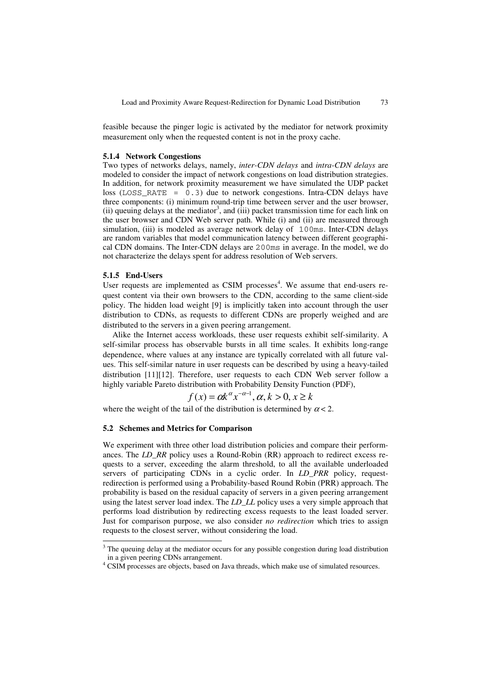feasible because the pinger logic is activated by the mediator for network proximity measurement only when the requested content is not in the proxy cache.

#### **5.1.4 Network Congestions**

Two types of networks delays, namely, *inter-CDN delays* and *intra-CDN delays* are modeled to consider the impact of network congestions on load distribution strategies. In addition, for network proximity measurement we have simulated the UDP packet loss (LOSS\_RATE = 0.3) due to network congestions. Intra-CDN delays have three components: (i) minimum round-trip time between server and the user browser, (ii) queuing delays at the mediator<sup>3</sup>, and (iii) packet transmission time for each link on the user browser and CDN Web server path. While (i) and (ii) are measured through simulation, (iii) is modeled as average network delay of 100ms. Inter-CDN delays are random variables that model communication latency between different geographical CDN domains. The Inter-CDN delays are 200ms in average. In the model, we do not characterize the delays spent for address resolution of Web servers.

### **5.1.5 End-Users**

User requests are implemented as CSIM processes $4$ . We assume that end-users request content via their own browsers to the CDN, according to the same client-side policy. The hidden load weight [9] is implicitly taken into account through the user distribution to CDNs, as requests to different CDNs are properly weighed and are distributed to the servers in a given peering arrangement.

Alike the Internet access workloads, these user requests exhibit self-similarity. A self-similar process has observable bursts in all time scales. It exhibits long-range dependence, where values at any instance are typically correlated with all future values. This self-similar nature in user requests can be described by using a heavy-tailed distribution [11][12]. Therefore, user requests to each CDN Web server follow a highly variable Pareto distribution with Probability Density Function (PDF),

$$
f(x) = \alpha k^{\alpha} x^{-\alpha - 1}, \alpha, k > 0, x \ge k
$$

where the weight of the tail of the distribution is determined by  $\alpha < 2$ .

### **5.2 Schemes and Metrics for Comparison**

We experiment with three other load distribution policies and compare their performances. The *LD\_RR* policy uses a Round-Robin (RR) approach to redirect excess requests to a server, exceeding the alarm threshold, to all the available underloaded servers of participating CDNs in a cyclic order. In *LD\_PRR* policy, requestredirection is performed using a Probability-based Round Robin (PRR) approach. The probability is based on the residual capacity of servers in a given peering arrangement using the latest server load index. The *LD\_LL* policy uses a very simple approach that performs load distribution by redirecting excess requests to the least loaded server. Just for comparison purpose, we also consider *no redirection* which tries to assign requests to the closest server, without considering the load.

<sup>&</sup>lt;sup>3</sup> The queuing delay at the mediator occurs for any possible congestion during load distribution in a given peering CDNs arrangement.

<sup>4</sup> CSIM processes are objects, based on Java threads, which make use of simulated resources.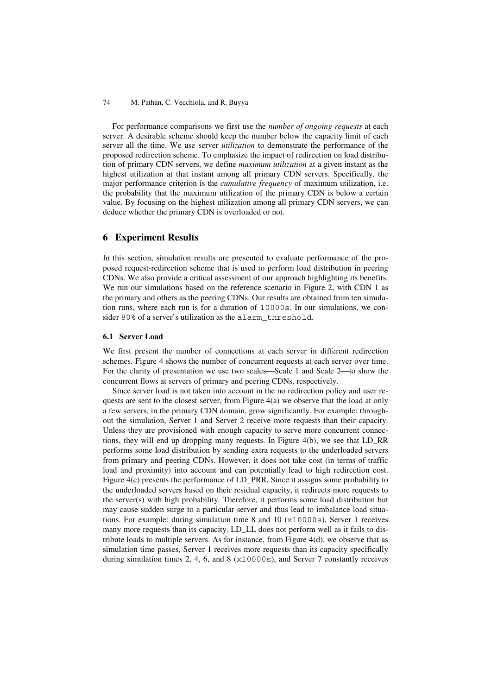For performance comparisons we first use the *number of ongoing requests* at each server. A desirable scheme should keep the number below the capacity limit of each server all the time. We use server *utilization* to demonstrate the performance of the proposed redirection scheme. To emphasize the impact of redirection on load distribution of primary CDN servers, we define *maximum utilization* at a given instant as the highest utilization at that instant among all primary CDN servers. Specifically, the major performance criterion is the *cumulative frequency* of maximum utilization, i.e. the probability that the maximum utilization of the primary CDN is below a certain value. By focusing on the highest utilization among all primary CDN servers, we can deduce whether the primary CDN is overloaded or not.

# **6 Experiment Results**

In this section, simulation results are presented to evaluate performance of the proposed request-redirection scheme that is used to perform load distribution in peering CDNs. We also provide a critical assessment of our approach highlighting its benefits. We run our simulations based on the reference scenario in Figure 2, with CDN 1 as the primary and others as the peering CDNs. Our results are obtained from ten simulation runs, where each run is for a duration of 10000s. In our simulations, we consider 80% of a server's utilization as the alarm threshold.

## **6.1 Server Load**

We first present the number of connections at each server in different redirection schemes. Figure 4 shows the number of concurrent requests at each server over time. For the clarity of presentation we use two scales—Scale 1 and Scale 2—to show the concurrent flows at servers of primary and peering CDNs, respectively.

Since server load is not taken into account in the no redirection policy and user requests are sent to the closest server, from Figure 4(a) we observe that the load at only a few servers, in the primary CDN domain, grow significantly. For example: throughout the simulation, Server 1 and Server 2 receive more requests than their capacity. Unless they are provisioned with enough capacity to serve more concurrent connections, they will end up dropping many requests. In Figure 4(b), we see that LD\_RR performs some load distribution by sending extra requests to the underloaded servers from primary and peering CDNs. However, it does not take cost (in terms of traffic load and proximity) into account and can potentially lead to high redirection cost. Figure 4(c) presents the performance of LD\_PRR. Since it assigns some probability to the underloaded servers based on their residual capacity, it redirects more requests to the server(s) with high probability. Therefore, it performs some load distribution but may cause sudden surge to a particular server and thus lead to imbalance load situations. For example: during simulation time 8 and 10 (x10000s), Server 1 receives many more requests than its capacity. LD LL does not perform well as it fails to distribute loads to multiple servers. As for instance, from Figure 4(d), we observe that as simulation time passes, Server 1 receives more requests than its capacity specifically during simulation times 2, 4, 6, and 8  $(x10000s)$ , and Server 7 constantly receives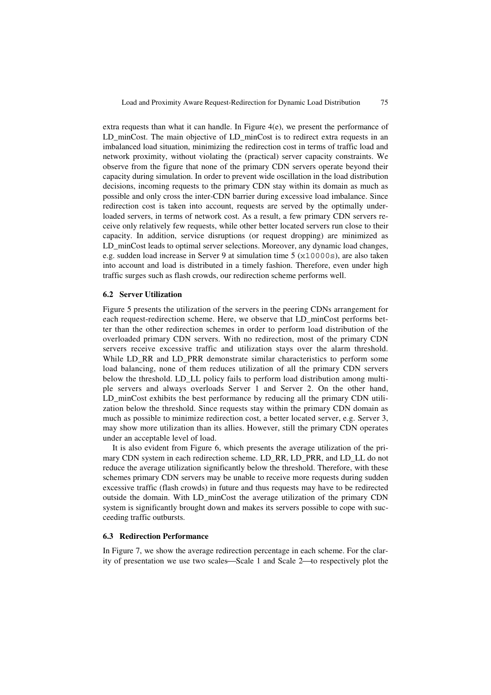extra requests than what it can handle. In Figure 4(e), we present the performance of LD\_minCost. The main objective of LD\_minCost is to redirect extra requests in an imbalanced load situation, minimizing the redirection cost in terms of traffic load and network proximity, without violating the (practical) server capacity constraints. We observe from the figure that none of the primary CDN servers operate beyond their capacity during simulation. In order to prevent wide oscillation in the load distribution decisions, incoming requests to the primary CDN stay within its domain as much as possible and only cross the inter-CDN barrier during excessive load imbalance. Since redirection cost is taken into account, requests are served by the optimally underloaded servers, in terms of network cost. As a result, a few primary CDN servers receive only relatively few requests, while other better located servers run close to their capacity. In addition, service disruptions (or request dropping) are minimized as LD minCost leads to optimal server selections. Moreover, any dynamic load changes, e.g. sudden load increase in Server 9 at simulation time 5 (x10000s), are also taken into account and load is distributed in a timely fashion. Therefore, even under high traffic surges such as flash crowds, our redirection scheme performs well.

## **6.2 Server Utilization**

Figure 5 presents the utilization of the servers in the peering CDNs arrangement for each request-redirection scheme. Here, we observe that LD\_minCost performs better than the other redirection schemes in order to perform load distribution of the overloaded primary CDN servers. With no redirection, most of the primary CDN servers receive excessive traffic and utilization stays over the alarm threshold. While LD\_RR and LD\_PRR demonstrate similar characteristics to perform some load balancing, none of them reduces utilization of all the primary CDN servers below the threshold. LD\_LL policy fails to perform load distribution among multiple servers and always overloads Server 1 and Server 2. On the other hand, LD minCost exhibits the best performance by reducing all the primary CDN utilization below the threshold. Since requests stay within the primary CDN domain as much as possible to minimize redirection cost, a better located server, e.g. Server 3, may show more utilization than its allies. However, still the primary CDN operates under an acceptable level of load.

It is also evident from Figure 6, which presents the average utilization of the primary CDN system in each redirection scheme. LD\_RR, LD\_PRR, and LD\_LL do not reduce the average utilization significantly below the threshold. Therefore, with these schemes primary CDN servers may be unable to receive more requests during sudden excessive traffic (flash crowds) in future and thus requests may have to be redirected outside the domain. With LD\_minCost the average utilization of the primary CDN system is significantly brought down and makes its servers possible to cope with succeeding traffic outbursts.

#### **6.3 Redirection Performance**

In Figure 7, we show the average redirection percentage in each scheme. For the clarity of presentation we use two scales—Scale 1 and Scale 2—to respectively plot the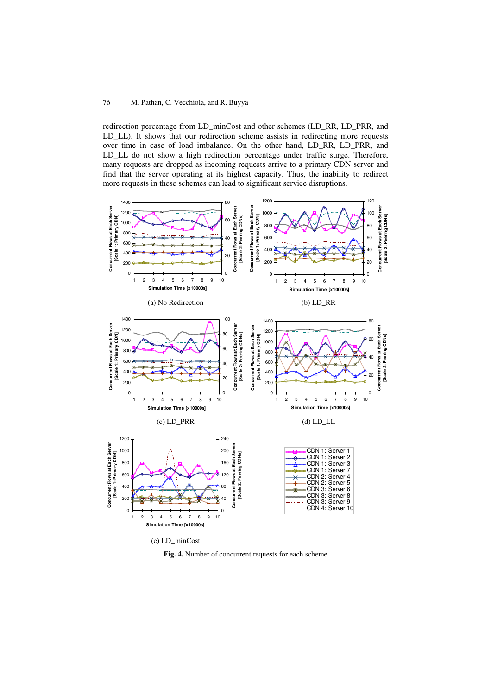redirection percentage from LD\_minCost and other schemes (LD\_RR, LD\_PRR, and LD\_LL). It shows that our redirection scheme assists in redirecting more requests over time in case of load imbalance. On the other hand, LD\_RR, LD\_PRR, and LD\_LL do not show a high redirection percentage under traffic surge. Therefore, many requests are dropped as incoming requests arrive to a primary CDN server and find that the server operating at its highest capacity. Thus, the inability to redirect more requests in these schemes can lead to significant service disruptions.



(e) LD\_minCost

**Fig. 4.** Number of concurrent requests for each scheme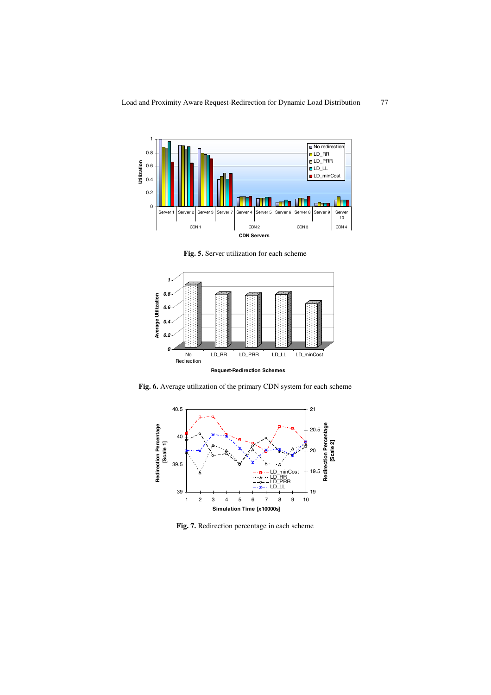

**Fig. 5.** Server utilization for each scheme



**Fig. 6.** Average utilization of the primary CDN system for each scheme



**Fig. 7.** Redirection percentage in each scheme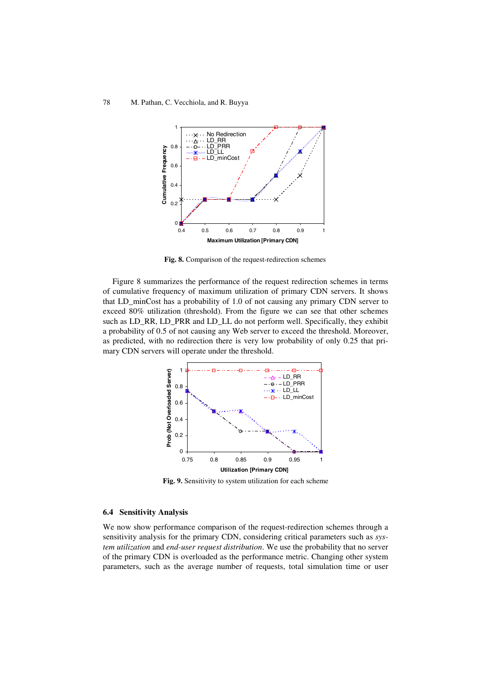

**Fig. 8.** Comparison of the request-redirection schemes

Figure 8 summarizes the performance of the request redirection schemes in terms of cumulative frequency of maximum utilization of primary CDN servers. It shows that LD\_minCost has a probability of 1.0 of not causing any primary CDN server to exceed 80% utilization (threshold). From the figure we can see that other schemes such as LD\_RR, LD\_PRR and LD\_LL do not perform well. Specifically, they exhibit a probability of 0.5 of not causing any Web server to exceed the threshold. Moreover, as predicted, with no redirection there is very low probability of only 0.25 that primary CDN servers will operate under the threshold.



**Fig. 9.** Sensitivity to system utilization for each scheme

# **6.4 Sensitivity Analysis**

We now show performance comparison of the request-redirection schemes through a sensitivity analysis for the primary CDN, considering critical parameters such as *system utilization* and *end-user request distribution*. We use the probability that no server of the primary CDN is overloaded as the performance metric. Changing other system parameters, such as the average number of requests, total simulation time or user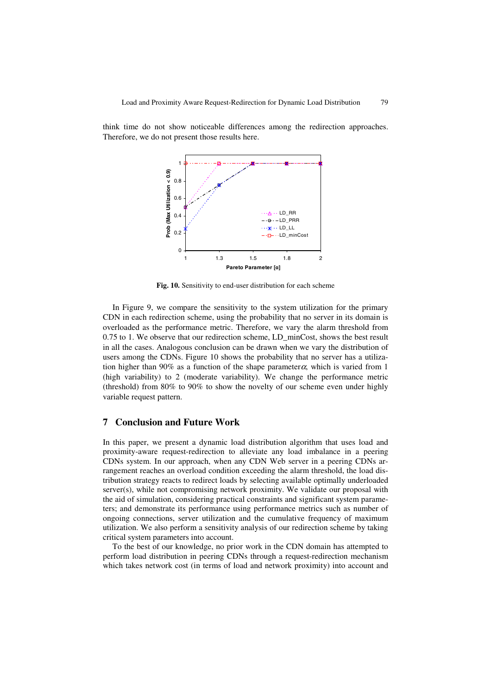think time do not show noticeable differences among the redirection approaches. Therefore, we do not present those results here.



**Fig. 10.** Sensitivity to end-user distribution for each scheme

In Figure 9, we compare the sensitivity to the system utilization for the primary CDN in each redirection scheme, using the probability that no server in its domain is overloaded as the performance metric. Therefore, we vary the alarm threshold from 0.75 to 1. We observe that our redirection scheme, LD\_minCost, shows the best result in all the cases. Analogous conclusion can be drawn when we vary the distribution of users among the CDNs. Figure 10 shows the probability that no server has a utilization higher than 90% as a function of the shape parameter  $\alpha$ , which is varied from 1 (high variability) to 2 (moderate variability). We change the performance metric (threshold) from 80% to 90% to show the novelty of our scheme even under highly variable request pattern.

# **7 Conclusion and Future Work**

In this paper, we present a dynamic load distribution algorithm that uses load and proximity-aware request-redirection to alleviate any load imbalance in a peering CDNs system. In our approach, when any CDN Web server in a peering CDNs arrangement reaches an overload condition exceeding the alarm threshold, the load distribution strategy reacts to redirect loads by selecting available optimally underloaded server(s), while not compromising network proximity. We validate our proposal with the aid of simulation, considering practical constraints and significant system parameters; and demonstrate its performance using performance metrics such as number of ongoing connections, server utilization and the cumulative frequency of maximum utilization. We also perform a sensitivity analysis of our redirection scheme by taking critical system parameters into account.

To the best of our knowledge, no prior work in the CDN domain has attempted to perform load distribution in peering CDNs through a request-redirection mechanism which takes network cost (in terms of load and network proximity) into account and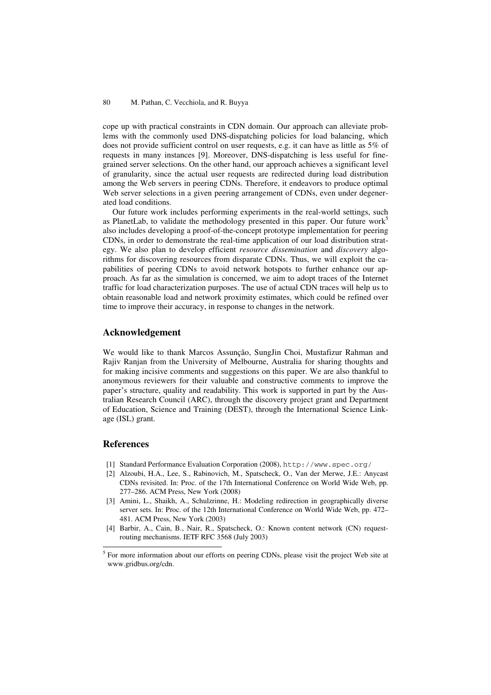cope up with practical constraints in CDN domain. Our approach can alleviate problems with the commonly used DNS-dispatching policies for load balancing, which does not provide sufficient control on user requests, e.g. it can have as little as 5% of requests in many instances [9]. Moreover, DNS-dispatching is less useful for finegrained server selections. On the other hand, our approach achieves a significant level of granularity, since the actual user requests are redirected during load distribution among the Web servers in peering CDNs. Therefore, it endeavors to produce optimal Web server selections in a given peering arrangement of CDNs, even under degenerated load conditions.

Our future work includes performing experiments in the real-world settings, such as PlanetLab, to validate the methodology presented in this paper. Our future work<sup>5</sup> also includes developing a proof-of-the-concept prototype implementation for peering CDNs, in order to demonstrate the real-time application of our load distribution strategy. We also plan to develop efficient *resource dissemination* and *discovery* algorithms for discovering resources from disparate CDNs. Thus, we will exploit the capabilities of peering CDNs to avoid network hotspots to further enhance our approach. As far as the simulation is concerned, we aim to adopt traces of the Internet traffic for load characterization purposes. The use of actual CDN traces will help us to obtain reasonable load and network proximity estimates, which could be refined over time to improve their accuracy, in response to changes in the network.

# **Acknowledgement**

We would like to thank Marcos Assunção, SungJin Choi, Mustafizur Rahman and Rajiv Ranjan from the University of Melbourne, Australia for sharing thoughts and for making incisive comments and suggestions on this paper. We are also thankful to anonymous reviewers for their valuable and constructive comments to improve the paper's structure, quality and readability. This work is supported in part by the Australian Research Council (ARC), through the discovery project grant and Department of Education, Science and Training (DEST), through the International Science Linkage (ISL) grant.

# **References**

-

- [1] Standard Performance Evaluation Corporation (2008), http://www.spec.org/
- [2] Alzoubi, H.A., Lee, S., Rabinovich, M., Spatscheck, O., Van der Merwe, J.E.: Anycast CDNs revisited. In: Proc. of the 17th International Conference on World Wide Web, pp. 277–286. ACM Press, New York (2008)
- [3] Amini, L., Shaikh, A., Schulzrinne, H.: Modeling redirection in geographically diverse server sets. In: Proc. of the 12th International Conference on World Wide Web, pp. 472– 481. ACM Press, New York (2003)
- [4] Barbir, A., Cain, B., Nair, R., Spatscheck, O.: Known content network (CN) requestrouting mechanisms. IETF RFC 3568 (July 2003)

<sup>&</sup>lt;sup>5</sup> For more information about our efforts on peering CDNs, please visit the project Web site at www.gridbus.org/cdn.